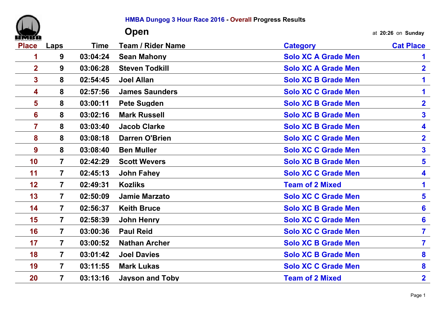

## **HMBA Dungog 3 Hour Race 2016 - Overall Progress Results**

|                         |                         |             | Open                     |                            | at 20:26 on Sunday      |
|-------------------------|-------------------------|-------------|--------------------------|----------------------------|-------------------------|
| <b>Place</b>            | Laps                    | <b>Time</b> | <b>Team / Rider Name</b> | <b>Category</b>            | <b>Cat Place</b>        |
| 1                       | 9                       | 03:04:24    | <b>Sean Mahony</b>       | <b>Solo XC A Grade Men</b> | 1                       |
| $\overline{2}$          | 9                       | 03:06:28    | <b>Steven Todkill</b>    | <b>Solo XC A Grade Men</b> | $\overline{\mathbf{2}}$ |
| 3                       | 8                       | 02:54:45    | <b>Joel Allan</b>        | <b>Solo XC B Grade Men</b> | 1                       |
| 4                       | 8                       | 02:57:56    | <b>James Saunders</b>    | <b>Solo XC C Grade Men</b> | 1                       |
| $\overline{\mathbf{5}}$ | 8                       | 03:00:11    | <b>Pete Sugden</b>       | <b>Solo XC B Grade Men</b> | $\overline{\mathbf{2}}$ |
| 6                       | 8                       | 03:02:16    | <b>Mark Russell</b>      | <b>Solo XC B Grade Men</b> | 3                       |
| $\overline{7}$          | 8                       | 03:03:40    | <b>Jacob Clarke</b>      | <b>Solo XC B Grade Men</b> | 4                       |
| 8                       | 8                       | 03:08:18    | <b>Darren O'Brien</b>    | <b>Solo XC C Grade Men</b> | $\overline{\mathbf{2}}$ |
| 9                       | 8                       | 03:08:40    | <b>Ben Muller</b>        | <b>Solo XC C Grade Men</b> | $\overline{\mathbf{3}}$ |
| 10                      | $\overline{7}$          | 02:42:29    | <b>Scott Wevers</b>      | <b>Solo XC B Grade Men</b> | 5                       |
| 11                      | $\overline{7}$          | 02:45:13    | <b>John Fahey</b>        | <b>Solo XC C Grade Men</b> | 4                       |
| 12                      | $\overline{7}$          | 02:49:31    | <b>Kozliks</b>           | <b>Team of 2 Mixed</b>     | $\mathbf 1$             |
| 13                      | $\overline{\mathbf{7}}$ | 02:50:09    | <b>Jamie Marzato</b>     | <b>Solo XC C Grade Men</b> | 5                       |
| 14                      | $\overline{\mathbf{7}}$ | 02:56:37    | <b>Keith Bruce</b>       | <b>Solo XC B Grade Men</b> | 6                       |
| 15                      | $\overline{7}$          | 02:58:39    | <b>John Henry</b>        | <b>Solo XC C Grade Men</b> | 6                       |
| 16                      | $\overline{7}$          | 03:00:36    | <b>Paul Reid</b>         | <b>Solo XC C Grade Men</b> | $\overline{\mathbf{7}}$ |
| 17                      | $\overline{7}$          | 03:00:52    | <b>Nathan Archer</b>     | <b>Solo XC B Grade Men</b> | $\overline{\mathbf{7}}$ |
| 18                      | $\overline{7}$          | 03:01:42    | <b>Joel Davies</b>       | <b>Solo XC B Grade Men</b> | 8                       |
| 19                      | $\overline{7}$          | 03:11:55    | <b>Mark Lukas</b>        | <b>Solo XC C Grade Men</b> | 8                       |
| 20                      | $\overline{7}$          | 03:13:16    | <b>Jayson and Toby</b>   | <b>Team of 2 Mixed</b>     | $\overline{\mathbf{2}}$ |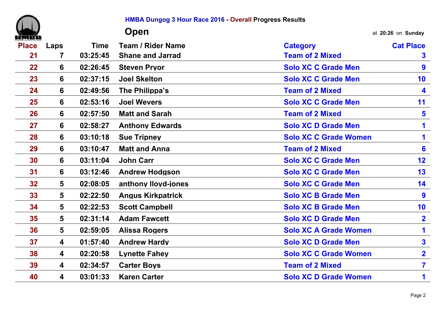|              |      |             | <b>HMBA Dungog 3 Hour Race 2016 - Overall Progress Results</b> |                              |                         |
|--------------|------|-------------|----------------------------------------------------------------|------------------------------|-------------------------|
|              |      |             | Open                                                           |                              | at 20:26 on Sunday      |
| <b>Place</b> | Laps | <b>Time</b> | <b>Team / Rider Name</b>                                       | <b>Category</b>              | <b>Cat Place</b>        |
| 21           | 7    | 03:25:45    | <b>Shane and Jarrad</b>                                        | <b>Team of 2 Mixed</b>       | 3                       |
| 22           | 6    | 02:26:45    | <b>Steven Pryor</b>                                            | <b>Solo XC C Grade Men</b>   | 9                       |
| 23           | 6    | 02:37:15    | <b>Joel Skelton</b>                                            | <b>Solo XC C Grade Men</b>   | 10                      |
| 24           | 6    | 02:49:56    | The Philippa's                                                 | <b>Team of 2 Mixed</b>       | 4                       |
| 25           | 6    | 02:53:16    | <b>Joel Wevers</b>                                             | <b>Solo XC C Grade Men</b>   | 11                      |
| 26           | 6    | 02:57:50    | <b>Matt and Sarah</b>                                          | <b>Team of 2 Mixed</b>       | $5\phantom{1}$          |
| 27           | 6    | 02:58:27    | <b>Anthony Edwards</b>                                         | <b>Solo XC D Grade Men</b>   | 1                       |
| 28           | 6    | 03:10:18    | <b>Sue Tripney</b>                                             | <b>Solo XC C Grade Women</b> | 1                       |
| 29           | 6    | 03:10:47    | <b>Matt and Anna</b>                                           | <b>Team of 2 Mixed</b>       | 6                       |
| 30           | 6    | 03:11:04    | <b>John Carr</b>                                               | <b>Solo XC C Grade Men</b>   | 12                      |
| 31           | 6    | 03:12:46    | <b>Andrew Hodgson</b>                                          | <b>Solo XC C Grade Men</b>   | 13                      |
| 32           | 5    | 02:08:05    | anthony lloyd-jones                                            | <b>Solo XC C Grade Men</b>   | 14                      |
| 33           | 5    | 02:22:50    | <b>Angus Kirkpatrick</b>                                       | <b>Solo XC B Grade Men</b>   | 9                       |
| 34           | 5    | 02:22:53    | <b>Scott Campbell</b>                                          | <b>Solo XC B Grade Men</b>   | 10                      |
| 35           | 5    | 02:31:14    | <b>Adam Fawcett</b>                                            | <b>Solo XC D Grade Men</b>   | $\overline{\mathbf{2}}$ |
| 36           | 5    | 02:59:05    | <b>Alissa Rogers</b>                                           | <b>Solo XC A Grade Women</b> | 1                       |
| 37           | 4    | 01:57:40    | <b>Andrew Hardy</b>                                            | <b>Solo XC D Grade Men</b>   | $\mathbf{3}$            |
| 38           | 4    | 02:20:58    | <b>Lynette Fahey</b>                                           | <b>Solo XC C Grade Women</b> | $\overline{2}$          |
| 39           | 4    | 02:34:57    | <b>Carter Boys</b>                                             | <b>Team of 2 Mixed</b>       | $\overline{\mathbf{7}}$ |
| 40           | 4    | 03:01:33    | <b>Karen Carter</b>                                            | <b>Solo XC D Grade Women</b> | 1                       |